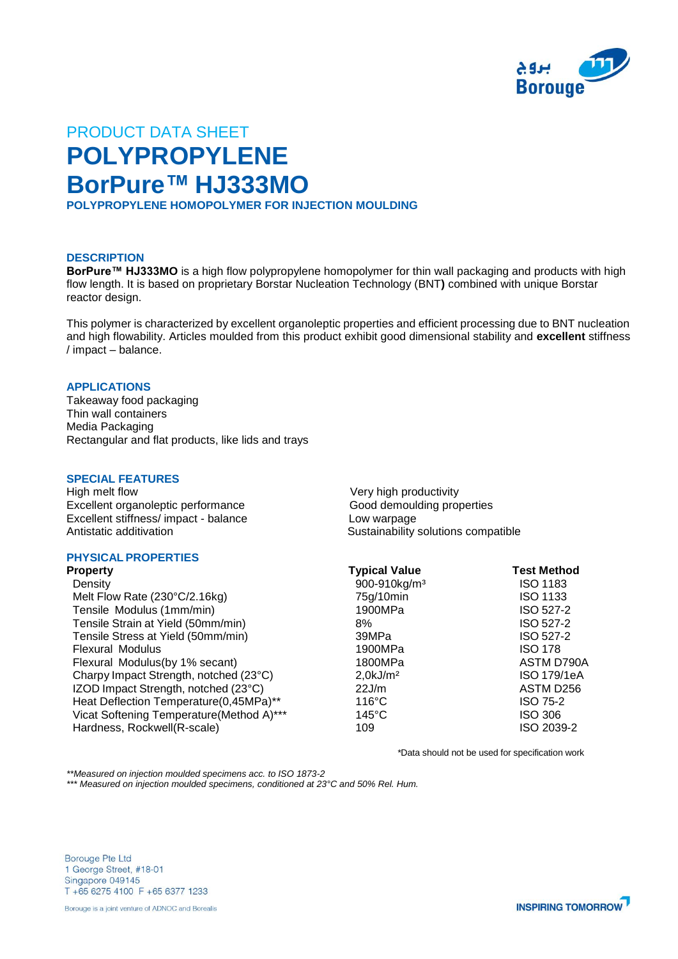

# PRODUCT DATA SHEET **POLYPROPYLENE BorPure™ HJ333MO**

**POLYPROPYLENE HOMOPOLYMER FOR INJECTION MOULDING**

## **DESCRIPTION**

**BorPure™ HJ333MO** is a high flow polypropylene homopolymer for thin wall packaging and products with high flow length. It is based on proprietary Borstar Nucleation Technology (BNT**)** combined with unique Borstar reactor design.

This polymer is characterized by excellent organoleptic properties and efficient processing due to BNT nucleation and high flowability. Articles moulded from this product exhibit good dimensional stability and **excellent** stiffness / impact – balance.

## **APPLICATIONS**

Takeaway food packaging Thin wall containers Media Packaging Rectangular and flat products, like lids and trays

## **SPECIAL FEATURES**

High melt flow Newsletter and the Very high productivity Excellent organoleptic performance Good demoulding properties Excellent stiffness/ impact - balance <br>Antistatic additivation <br>Antistatic additivation

## **PHYSICAL PROPERTIES**

**Property Typical Value Test Method** Density 900-910kg/m³ ISO 1183 Melt Flow Rate  $(230^{\circ}C/2.16kg)$ Tensile Modulus (1mm/min) Tensile Strain at Yield (50mm/min) Tensile Stress at Yield (50mm/min) Flexural Modulus Flexural Modulus(by 1% secant) Charpy Impact Strength, notched (23°C) IZOD Impact Strength, notched (23°C) Heat Deflection Temperature(0,45MPa)\*\* Vicat Softening Temperature(Method A)\*\*\* Hardness, Rockwell(R-scale)

Sustainability solutions compatible

| <b>Typical Value</b>     | <b>Test Method</b> |
|--------------------------|--------------------|
| 900-910kg/m <sup>3</sup> | <b>ISO 1183</b>    |
| 75g/10min                | ISO 1133           |
| 1900MPa                  | ISO 527-2          |
| 8%                       | ISO 527-2          |
| 39MPa                    | ISO 527-2          |
| 1900MPa                  | <b>ISO 178</b>     |
| 1800MPa                  | ASTM D790A         |
| 2.0 kJ/m <sup>2</sup>    | ISO 179/1eA        |
| 22J/m                    | ASTM D256          |
| $116^{\circ}$ C          | <b>ISO 75-2</b>    |
| $145^{\circ}$ C          | <b>ISO 306</b>     |
| 109                      | ISO 2039-2         |
|                          |                    |

*\**Data should not be used for specification work

*\*\*Measured on injection moulded specimens acc. to ISO 1873-2*

*\*\*\* Measured on injection moulded specimens, conditioned at 23°C and 50% Rel. Hum.*

**Borouge Pte Ltd** 1 George Street, #18-01 Singapore 049145 T +65 6275 4100 F +65 6377 1233